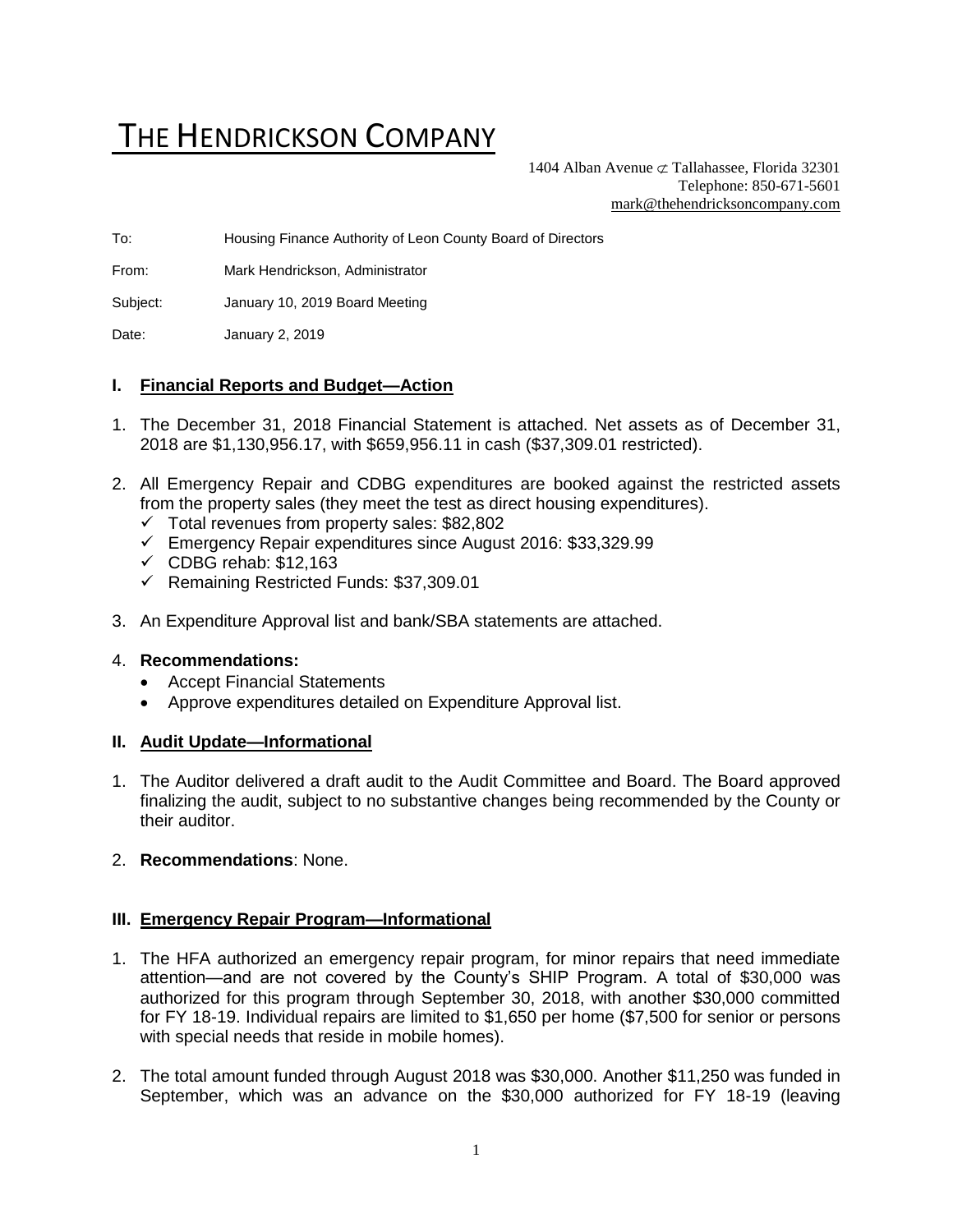# THE HENDRICKSON COMPANY

1404 Alban Avenue  $\sigma$  Tallahassee, Florida 32301 Telephone: 850-671-5601 [mark@thehendricksoncompany.com](mailto:mark@thehendricksoncompany.com)

To: Housing Finance Authority of Leon County Board of Directors

From: Mark Hendrickson, Administrator

Subject: January 10, 2019 Board Meeting

Date: January 2, 2019

#### **I. Financial Reports and Budget—Action**

- 1. The December 31, 2018 Financial Statement is attached. Net assets as of December 31, 2018 are \$1,130,956.17, with \$659,956.11 in cash (\$37,309.01 restricted).
- 2. All Emergency Repair and CDBG expenditures are booked against the restricted assets from the property sales (they meet the test as direct housing expenditures).
	- ✓ Total revenues from property sales: \$82,802
	- ✓ Emergency Repair expenditures since August 2016: \$33,329.99
	- $\checkmark$  CDBG rehab: \$12,163
	- ✓ Remaining Restricted Funds: \$37,309.01
- 3. An Expenditure Approval list and bank/SBA statements are attached.

#### 4. **Recommendations:**

- Accept Financial Statements
- Approve expenditures detailed on Expenditure Approval list.

#### **II. Audit Update—Informational**

- 1. The Auditor delivered a draft audit to the Audit Committee and Board. The Board approved finalizing the audit, subject to no substantive changes being recommended by the County or their auditor.
- 2. **Recommendations**: None.

#### **III. Emergency Repair Program—Informational**

- 1. The HFA authorized an emergency repair program, for minor repairs that need immediate attention—and are not covered by the County's SHIP Program. A total of \$30,000 was authorized for this program through September 30, 2018, with another \$30,000 committed for FY 18-19. Individual repairs are limited to \$1,650 per home (\$7,500 for senior or persons with special needs that reside in mobile homes).
- 2. The total amount funded through August 2018 was \$30,000. Another \$11,250 was funded in September, which was an advance on the \$30,000 authorized for FY 18-19 (leaving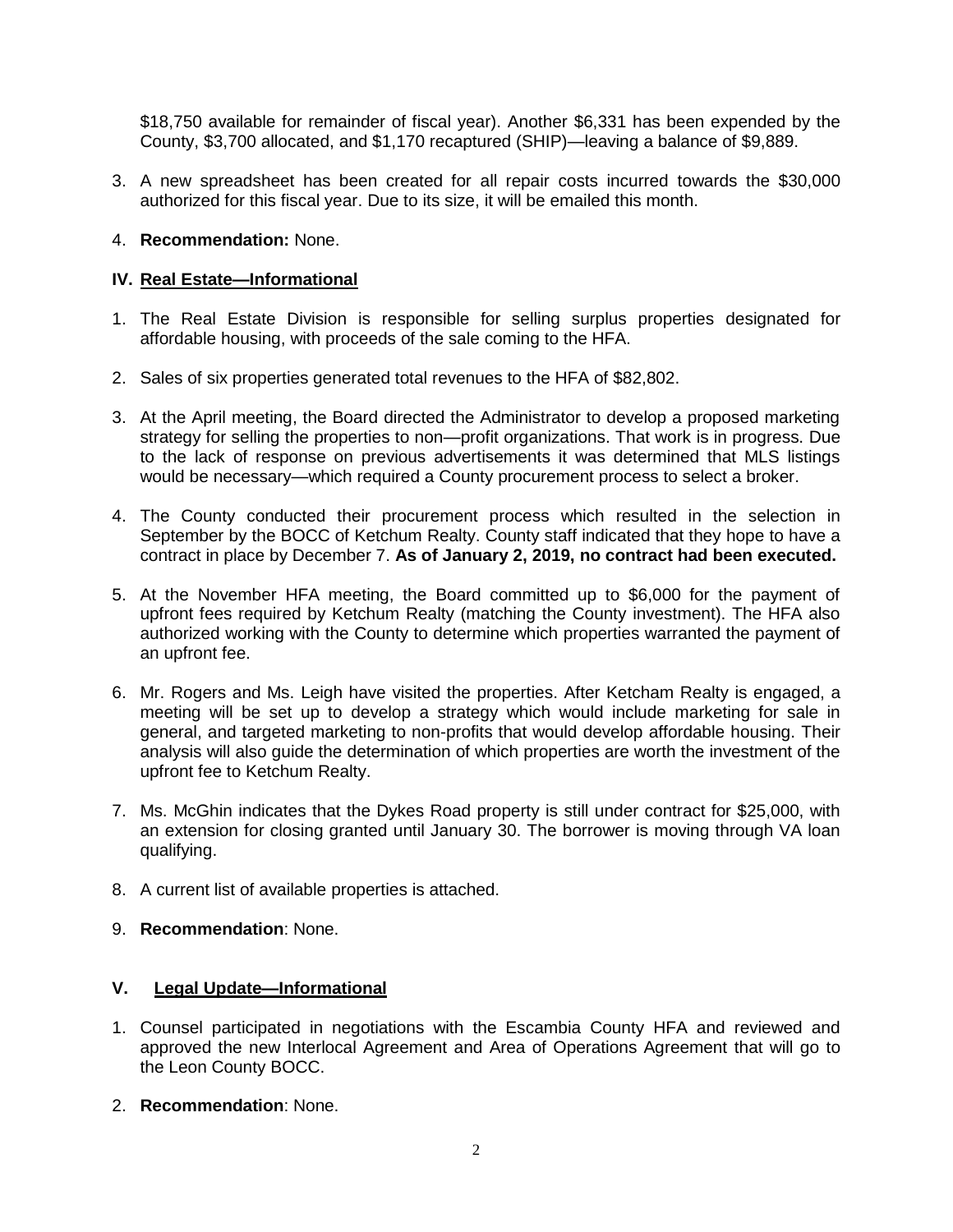\$18,750 available for remainder of fiscal year). Another \$6,331 has been expended by the County, \$3,700 allocated, and \$1,170 recaptured (SHIP)—leaving a balance of \$9,889.

- 3. A new spreadsheet has been created for all repair costs incurred towards the \$30,000 authorized for this fiscal year. Due to its size, it will be emailed this month.
- 4. **Recommendation:** None.

## **IV. Real Estate—Informational**

- 1. The Real Estate Division is responsible for selling surplus properties designated for affordable housing, with proceeds of the sale coming to the HFA.
- 2. Sales of six properties generated total revenues to the HFA of \$82,802.
- 3. At the April meeting, the Board directed the Administrator to develop a proposed marketing strategy for selling the properties to non—profit organizations. That work is in progress. Due to the lack of response on previous advertisements it was determined that MLS listings would be necessary—which required a County procurement process to select a broker.
- 4. The County conducted their procurement process which resulted in the selection in September by the BOCC of Ketchum Realty. County staff indicated that they hope to have a contract in place by December 7. **As of January 2, 2019, no contract had been executed.**
- 5. At the November HFA meeting, the Board committed up to \$6,000 for the payment of upfront fees required by Ketchum Realty (matching the County investment). The HFA also authorized working with the County to determine which properties warranted the payment of an upfront fee.
- 6. Mr. Rogers and Ms. Leigh have visited the properties. After Ketcham Realty is engaged, a meeting will be set up to develop a strategy which would include marketing for sale in general, and targeted marketing to non-profits that would develop affordable housing. Their analysis will also guide the determination of which properties are worth the investment of the upfront fee to Ketchum Realty.
- 7. Ms. McGhin indicates that the Dykes Road property is still under contract for \$25,000, with an extension for closing granted until January 30. The borrower is moving through VA loan qualifying.
- 8. A current list of available properties is attached.
- 9. **Recommendation**: None.

## **V. Legal Update—Informational**

- 1. Counsel participated in negotiations with the Escambia County HFA and reviewed and approved the new Interlocal Agreement and Area of Operations Agreement that will go to the Leon County BOCC.
- 2. **Recommendation**: None.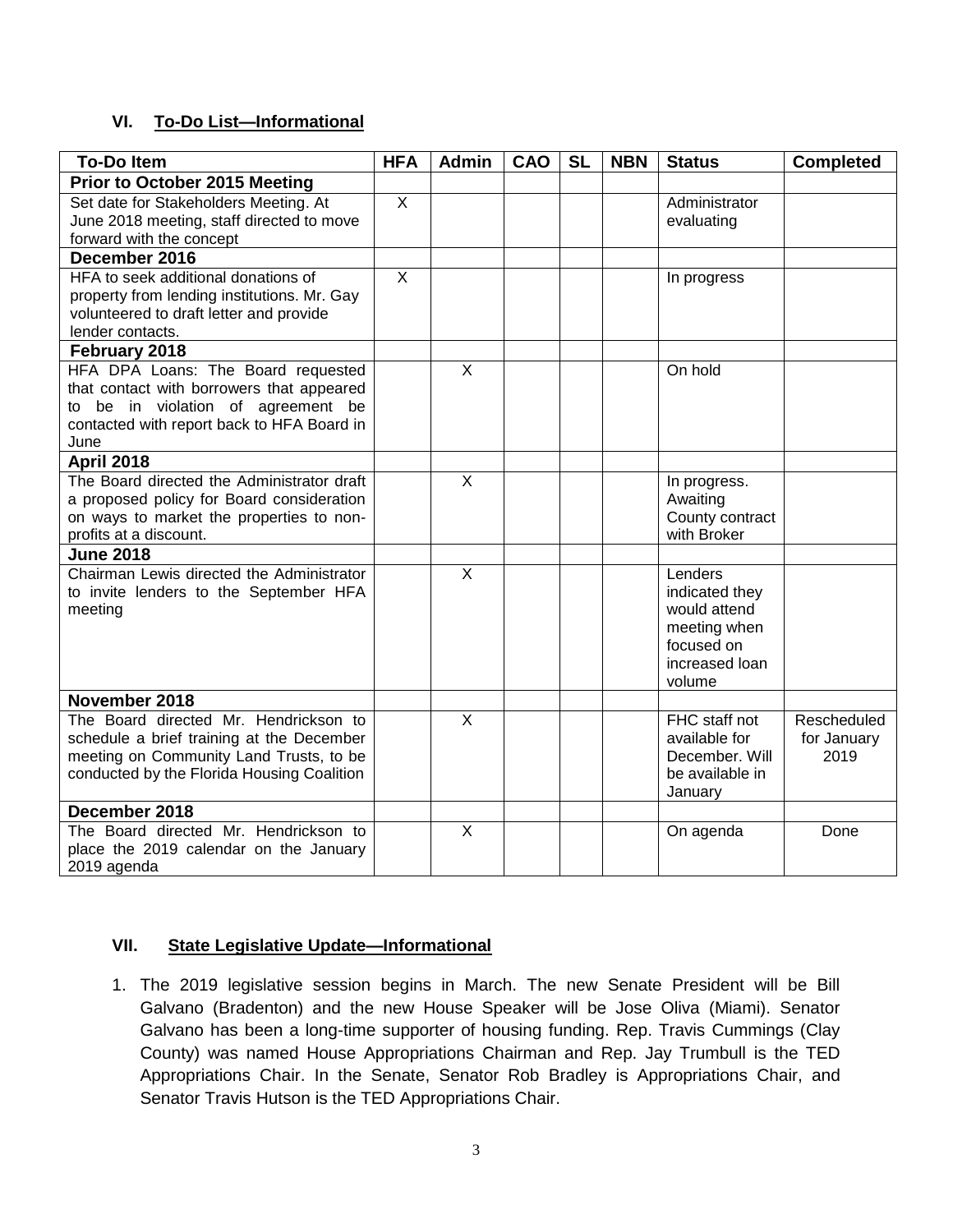## **VI. To-Do List—Informational**

| <b>To-Do Item</b>                                                  | <b>HFA</b>     | <b>Admin</b>   | CAO | <b>SL</b> | <b>NBN</b> | <b>Status</b>                  | <b>Completed</b> |
|--------------------------------------------------------------------|----------------|----------------|-----|-----------|------------|--------------------------------|------------------|
| <b>Prior to October 2015 Meeting</b>                               |                |                |     |           |            |                                |                  |
| Set date for Stakeholders Meeting. At                              | $\mathsf{X}$   |                |     |           |            | Administrator                  |                  |
| June 2018 meeting, staff directed to move                          |                |                |     |           |            | evaluating                     |                  |
| forward with the concept                                           |                |                |     |           |            |                                |                  |
| December 2016                                                      |                |                |     |           |            |                                |                  |
| HFA to seek additional donations of                                | $\overline{X}$ |                |     |           |            | In progress                    |                  |
| property from lending institutions. Mr. Gay                        |                |                |     |           |            |                                |                  |
| volunteered to draft letter and provide                            |                |                |     |           |            |                                |                  |
| lender contacts.                                                   |                |                |     |           |            |                                |                  |
| February 2018                                                      |                |                |     |           |            |                                |                  |
| HFA DPA Loans: The Board requested                                 |                | $\overline{X}$ |     |           |            | On hold                        |                  |
| that contact with borrowers that appeared                          |                |                |     |           |            |                                |                  |
| to be in violation of agreement be                                 |                |                |     |           |            |                                |                  |
| contacted with report back to HFA Board in                         |                |                |     |           |            |                                |                  |
| June                                                               |                |                |     |           |            |                                |                  |
| <b>April 2018</b>                                                  |                |                |     |           |            |                                |                  |
| The Board directed the Administrator draft                         |                | X              |     |           |            | In progress.                   |                  |
| a proposed policy for Board consideration                          |                |                |     |           |            | Awaiting                       |                  |
| on ways to market the properties to non-<br>profits at a discount. |                |                |     |           |            | County contract<br>with Broker |                  |
| <b>June 2018</b>                                                   |                |                |     |           |            |                                |                  |
| Chairman Lewis directed the Administrator                          |                | $\mathsf{X}$   |     |           |            | Lenders                        |                  |
| to invite lenders to the September HFA                             |                |                |     |           |            | indicated they                 |                  |
| meeting                                                            |                |                |     |           |            | would attend                   |                  |
|                                                                    |                |                |     |           |            | meeting when                   |                  |
|                                                                    |                |                |     |           |            | focused on                     |                  |
|                                                                    |                |                |     |           |            | increased loan                 |                  |
|                                                                    |                |                |     |           |            | volume                         |                  |
| November 2018                                                      |                |                |     |           |            |                                |                  |
| The Board directed Mr. Hendrickson to                              |                | $\overline{X}$ |     |           |            | FHC staff not                  | Rescheduled      |
| schedule a brief training at the December                          |                |                |     |           |            | available for                  | for January      |
| meeting on Community Land Trusts, to be                            |                |                |     |           |            | December. Will                 | 2019             |
| conducted by the Florida Housing Coalition                         |                |                |     |           |            | be available in                |                  |
|                                                                    |                |                |     |           |            | January                        |                  |
| December 2018                                                      |                |                |     |           |            |                                |                  |
| The Board directed Mr. Hendrickson to                              |                | X              |     |           |            | On agenda                      | Done             |
| place the 2019 calendar on the January                             |                |                |     |           |            |                                |                  |
| 2019 agenda                                                        |                |                |     |           |            |                                |                  |

## **VII. State Legislative Update—Informational**

1. The 2019 legislative session begins in March. The new Senate President will be Bill Galvano (Bradenton) and the new House Speaker will be Jose Oliva (Miami). Senator Galvano has been a long-time supporter of housing funding. Rep. Travis Cummings (Clay County) was named House Appropriations Chairman and Rep. Jay Trumbull is the TED Appropriations Chair. In the Senate, Senator Rob Bradley is Appropriations Chair, and Senator Travis Hutson is the TED Appropriations Chair.